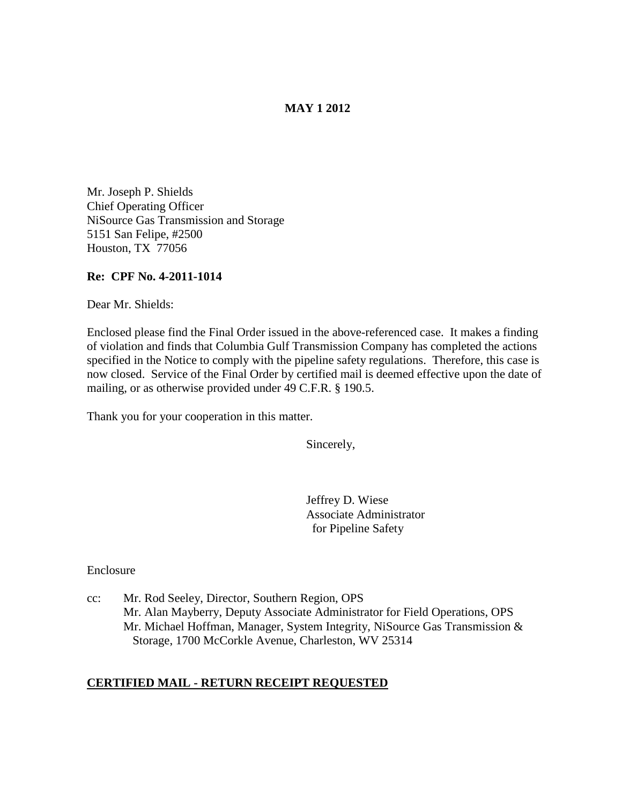## **MAY 1 2012**

Mr. Joseph P. Shields Chief Operating Officer NiSource Gas Transmission and Storage 5151 San Felipe, #2500 Houston, TX 77056

### **Re: CPF No. 4-2011-1014**

Dear Mr. Shields:

Enclosed please find the Final Order issued in the above-referenced case. It makes a finding of violation and finds that Columbia Gulf Transmission Company has completed the actions specified in the Notice to comply with the pipeline safety regulations. Therefore, this case is now closed. Service of the Final Order by certified mail is deemed effective upon the date of mailing, or as otherwise provided under 49 C.F.R. § 190.5.

Thank you for your cooperation in this matter.

Sincerely,

Jeffrey D. Wiese Associate Administrator for Pipeline Safety

Enclosure

cc: Mr. Rod Seeley, Director, Southern Region, OPS Mr. Alan Mayberry, Deputy Associate Administrator for Field Operations, OPS Mr. Michael Hoffman, Manager, System Integrity, NiSource Gas Transmission & Storage, 1700 McCorkle Avenue, Charleston, WV 25314

### **CERTIFIED MAIL - RETURN RECEIPT REQUESTED**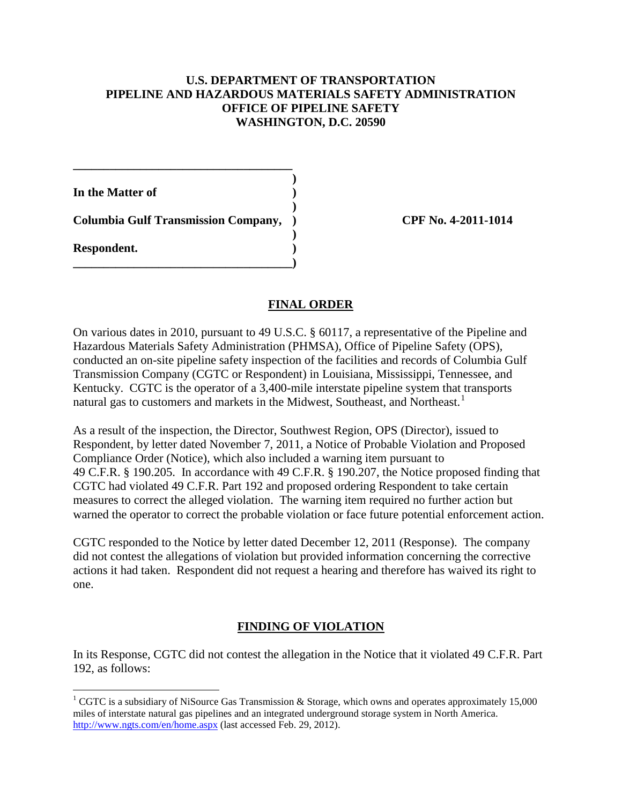### **U.S. DEPARTMENT OF TRANSPORTATION PIPELINE AND HAZARDOUS MATERIALS SAFETY ADMINISTRATION OFFICE OF PIPELINE SAFETY WASHINGTON, D.C. 20590**

**)**

**)**

**)**

**In the Matter of )**

**Columbia Gulf Transmission Company, ) CPF No. 4-2011-1014**

**\_\_\_\_\_\_\_\_\_\_\_\_\_\_\_\_\_\_\_\_\_\_\_\_\_\_\_\_\_\_\_\_\_\_\_\_)**

**\_\_\_\_\_\_\_\_\_\_\_\_\_\_\_\_\_\_\_\_\_\_\_\_\_\_\_\_\_\_\_\_\_\_\_\_**

**Respondent. )**

### **FINAL ORDER**

On various dates in 2010, pursuant to 49 U.S.C. § 60117, a representative of the Pipeline and Hazardous Materials Safety Administration (PHMSA), Office of Pipeline Safety (OPS), conducted an on-site pipeline safety inspection of the facilities and records of Columbia Gulf Transmission Company (CGTC or Respondent) in Louisiana, Mississippi, Tennessee, and Kentucky. CGTC is the operator of a 3,400-mile interstate pipeline system that transports natural gas to customers and markets in the Midwest, Southeast, and Northeast.<sup>[1](#page-1-0)</sup>

As a result of the inspection, the Director, Southwest Region, OPS (Director), issued to Respondent, by letter dated November 7, 2011, a Notice of Probable Violation and Proposed Compliance Order (Notice), which also included a warning item pursuant to 49 C.F.R. § 190.205. In accordance with 49 C.F.R. § 190.207, the Notice proposed finding that CGTC had violated 49 C.F.R. Part 192 and proposed ordering Respondent to take certain measures to correct the alleged violation. The warning item required no further action but warned the operator to correct the probable violation or face future potential enforcement action.

CGTC responded to the Notice by letter dated December 12, 2011 (Response). The company did not contest the allegations of violation but provided information concerning the corrective actions it had taken. Respondent did not request a hearing and therefore has waived its right to one.

# **FINDING OF VIOLATION**

In its Response, CGTC did not contest the allegation in the Notice that it violated 49 C.F.R. Part 192, as follows:

<span id="page-1-0"></span> $1$  CGTC is a subsidiary of NiSource Gas Transmission & Storage, which owns and operates approximately 15,000 miles of interstate natural gas pipelines and an integrated underground storage system in North America. <http://www.ngts.com/en/home.aspx> (last accessed Feb. 29, 2012).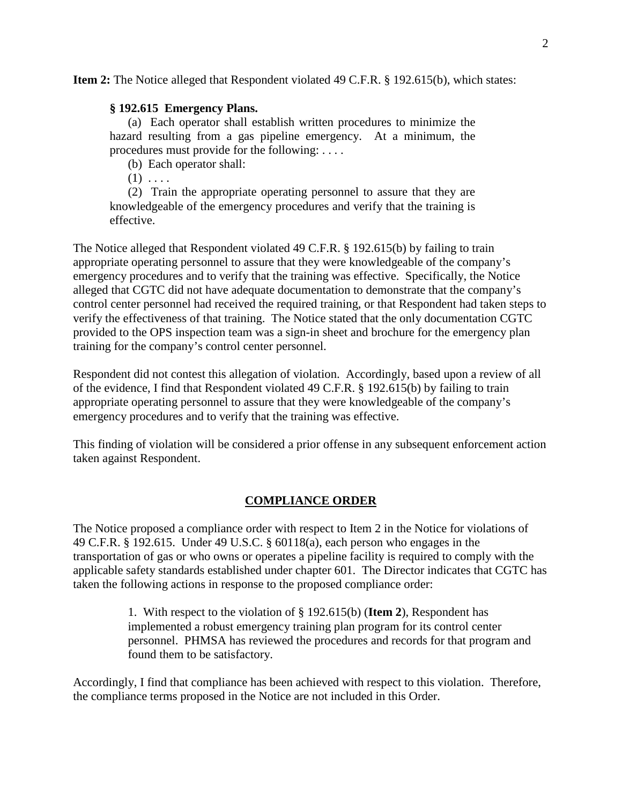**Item 2:** The Notice alleged that Respondent violated 49 C.F.R. § 192.615(b), which states:

#### **§ 192.615 Emergency Plans.**

(a) Each operator shall establish written procedures to minimize the hazard resulting from a gas pipeline emergency. At a minimum, the procedures must provide for the following: . . . .

(b) Each operator shall:

 $(1) \ldots$ 

(2) Train the appropriate operating personnel to assure that they are knowledgeable of the emergency procedures and verify that the training is effective.

The Notice alleged that Respondent violated 49 C.F.R. § 192.615(b) by failing to train appropriate operating personnel to assure that they were knowledgeable of the company's emergency procedures and to verify that the training was effective. Specifically, the Notice alleged that CGTC did not have adequate documentation to demonstrate that the company's control center personnel had received the required training, or that Respondent had taken steps to verify the effectiveness of that training. The Notice stated that the only documentation CGTC provided to the OPS inspection team was a sign-in sheet and brochure for the emergency plan training for the company's control center personnel.

Respondent did not contest this allegation of violation. Accordingly, based upon a review of all of the evidence, I find that Respondent violated 49 C.F.R. § 192.615(b) by failing to train appropriate operating personnel to assure that they were knowledgeable of the company's emergency procedures and to verify that the training was effective.

This finding of violation will be considered a prior offense in any subsequent enforcement action taken against Respondent.

### **COMPLIANCE ORDER**

The Notice proposed a compliance order with respect to Item 2 in the Notice for violations of 49 C.F.R. § 192.615. Under 49 U.S.C. § 60118(a), each person who engages in the transportation of gas or who owns or operates a pipeline facility is required to comply with the applicable safety standards established under chapter 601. The Director indicates that CGTC has taken the following actions in response to the proposed compliance order:

> 1. With respect to the violation of § 192.615(b) (**Item 2**), Respondent has implemented a robust emergency training plan program for its control center personnel. PHMSA has reviewed the procedures and records for that program and found them to be satisfactory.

Accordingly, I find that compliance has been achieved with respect to this violation. Therefore, the compliance terms proposed in the Notice are not included in this Order.